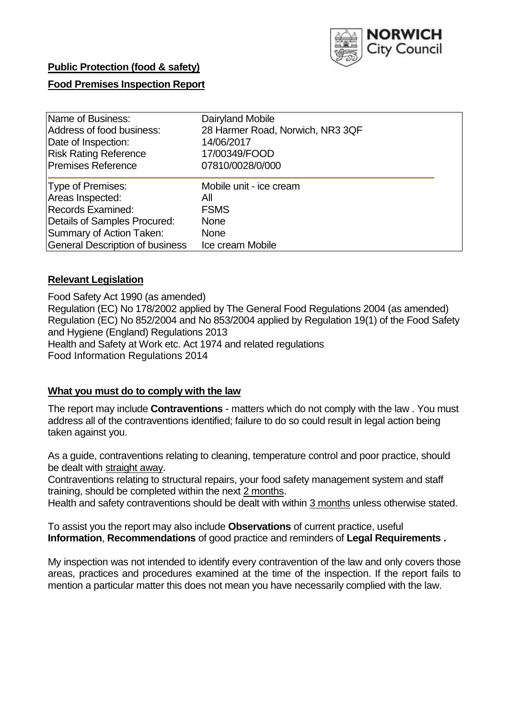

# **Public Protection (food & safety)**

## **Food Premises Inspection Report**

| Name of Business:                      | Dairyland Mobile                 |
|----------------------------------------|----------------------------------|
| Address of food business:              | 28 Harmer Road, Norwich, NR3 3QF |
| Date of Inspection:                    | 14/06/2017                       |
| <b>Risk Rating Reference</b>           | 17/00349/FOOD                    |
| <b>Premises Reference</b>              | 07810/0028/0/000                 |
| Type of Premises:                      | Mobile unit - ice cream          |
| Areas Inspected:                       | All                              |
| <b>Records Examined:</b>               | <b>FSMS</b>                      |
| Details of Samples Procured:           | <b>None</b>                      |
| Summary of Action Taken:               | <b>None</b>                      |
| <b>General Description of business</b> | Ice cream Mobile                 |

## **Relevant Legislation**

Food Safety Act 1990 (as amended) Regulation (EC) No 178/2002 applied by The General Food Regulations 2004 (as amended) Regulation (EC) No 852/2004 and No 853/2004 applied by Regulation 19(1) of the Food Safety and Hygiene (England) Regulations 2013 Health and Safety at Work etc. Act 1974 and related regulations Food Information Regulations 2014

### **What you must do to comply with the law**

The report may include **Contraventions** - matters which do not comply with the law . You must address all of the contraventions identified; failure to do so could result in legal action being taken against you.

As a guide, contraventions relating to cleaning, temperature control and poor practice, should be dealt with straight away.

Contraventions relating to structural repairs, your food safety management system and staff training, should be completed within the next 2 months.

Health and safety contraventions should be dealt with within 3 months unless otherwise stated.

To assist you the report may also include **Observations** of current practice, useful **Information**, **Recommendations** of good practice and reminders of **Legal Requirements .**

My inspection was not intended to identify every contravention of the law and only covers those areas, practices and procedures examined at the time of the inspection. If the report fails to mention a particular matter this does not mean you have necessarily complied with the law.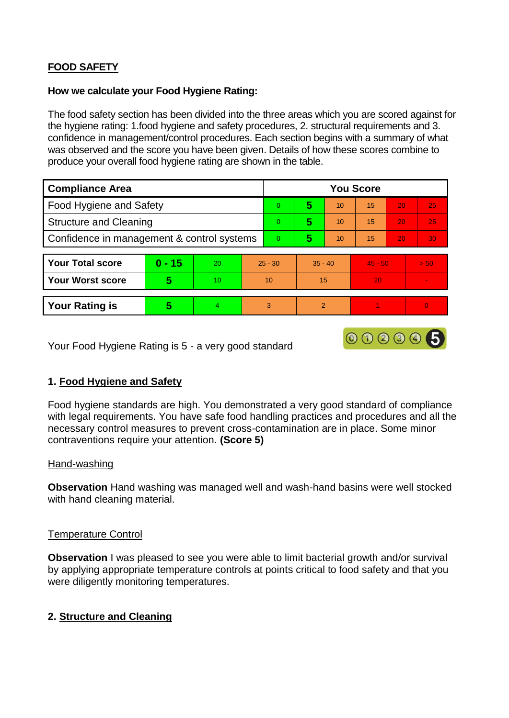# **FOOD SAFETY**

#### **How we calculate your Food Hygiene Rating:**

The food safety section has been divided into the three areas which you are scored against for the hygiene rating: 1.food hygiene and safety procedures, 2. structural requirements and 3. confidence in management/control procedures. Each section begins with a summary of what was observed and the score you have been given. Details of how these scores combine to produce your overall food hygiene rating are shown in the table.

| <b>Compliance Area</b>                     |          |    |                | <b>You Score</b> |               |    |           |    |          |  |  |
|--------------------------------------------|----------|----|----------------|------------------|---------------|----|-----------|----|----------|--|--|
| Food Hygiene and Safety                    |          |    |                | $\overline{0}$   | 5             | 10 | 15        | 20 | 25       |  |  |
| <b>Structure and Cleaning</b>              |          |    | $\Omega$       | 5                | 10            | 15 | 20        | 25 |          |  |  |
| Confidence in management & control systems |          |    | $\overline{0}$ | 5                | 10            | 15 | 20        | 30 |          |  |  |
|                                            |          |    |                |                  |               |    |           |    |          |  |  |
| <b>Your Total score</b>                    | $0 - 15$ | 20 |                | $25 - 30$        | $35 - 40$     |    | $45 - 50$ |    | > 50     |  |  |
| <b>Your Worst score</b>                    | 5        | 10 |                | 10               | 15            |    | 20        |    |          |  |  |
|                                            |          |    |                |                  |               |    |           |    |          |  |  |
| <b>Your Rating is</b>                      | 5        | 4  |                | 3                | $\mathcal{P}$ |    |           |    | $\Omega$ |  |  |

Your Food Hygiene Rating is 5 - a very good standard

# **1. Food Hygiene and Safety**

Food hygiene standards are high. You demonstrated a very good standard of compliance with legal requirements. You have safe food handling practices and procedures and all the necessary control measures to prevent cross-contamination are in place. Some minor contraventions require your attention. **(Score 5)**

000005

### Hand-washing

**Observation** Hand washing was managed well and wash-hand basins were well stocked with hand cleaning material.

### Temperature Control

**Observation** I was pleased to see you were able to limit bacterial growth and/or survival by applying appropriate temperature controls at points critical to food safety and that you were diligently monitoring temperatures.

# **2. Structure and Cleaning**